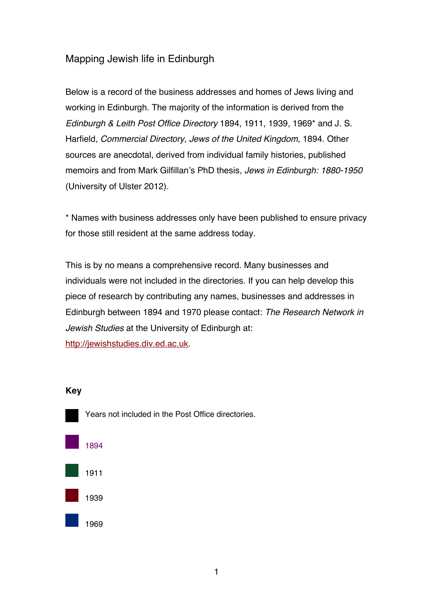# Mapping Jewish life in Edinburgh

Below is a record of the business addresses and homes of Jews living and working in Edinburgh. The majority of the information is derived from the *Edinburgh & Leith Post Office Directory* 1894, 1911, 1939, 1969\* and J. S. Harfield, *Commercial Directory, Jews of the United Kingdom*, 1894. Other sources are anecdotal, derived from individual family histories, published memoirs and from Mark Gilfillan's PhD thesis, *Jews in Edinburgh: 1880-1950* (University of Ulster 2012).

\* Names with business addresses only have been published to ensure privacy for those still resident at the same address today.

This is by no means a comprehensive record. Many businesses and individuals were not included in the directories. If you can help develop this piece of research by contributing any names, businesses and addresses in Edinburgh between 1894 and 1970 please contact: *The Research Network in Jewish Studies* at the University of Edinburgh at: http://jewishstudies.div.ed.ac.uk.

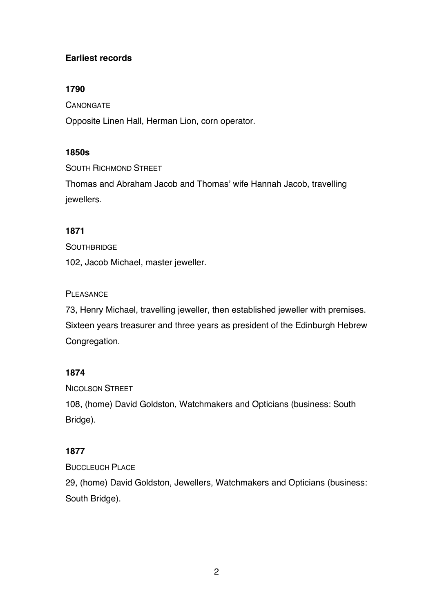# **Earliest records**

# **1790**

**CANONGATE** 

Opposite Linen Hall, Herman Lion, corn operator.

# **1850s**

SOUTH RICHMOND STREET

Thomas and Abraham Jacob and Thomas' wife Hannah Jacob, travelling jewellers.

# **1871**

**SOUTHBRIDGE** 

102, Jacob Michael, master jeweller.

# **PLEASANCE**

73, Henry Michael, travelling jeweller, then established jeweller with premises. Sixteen years treasurer and three years as president of the Edinburgh Hebrew Congregation.

# **1874**

NICOLSON STREET

108, (home) David Goldston, Watchmakers and Opticians (business: South Bridge).

# **1877**

BUCCLEUCH PLACE

29, (home) David Goldston, Jewellers, Watchmakers and Opticians (business: South Bridge).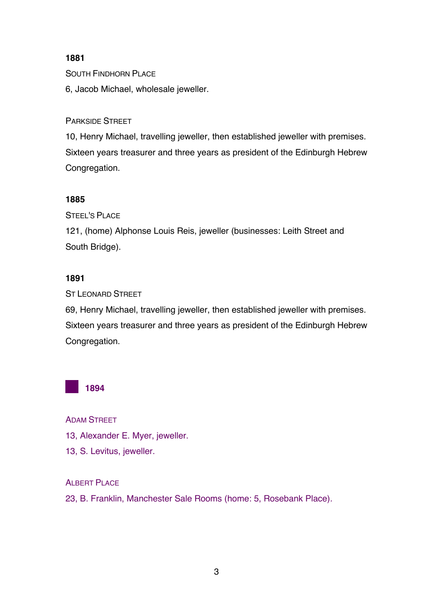# **1881**

SOUTH FINDHORN PLACE

6, Jacob Michael, wholesale jeweller.

PARKSIDE STREET

10, Henry Michael, travelling jeweller, then established jeweller with premises. Sixteen years treasurer and three years as president of the Edinburgh Hebrew Congregation.

# **1885**

STEEL'S PLACE

121, (home) Alphonse Louis Reis, jeweller (businesses: Leith Street and South Bridge).

# **1891**

ST LEONARD STREET

69, Henry Michael, travelling jeweller, then established jeweller with premises. Sixteen years treasurer and three years as president of the Edinburgh Hebrew Congregation.



ADAM STREET

- 13, Alexander E. Myer, jeweller.
- 13, S. Levitus, jeweller.

# ALBERT PLACE

23, B. Franklin, Manchester Sale Rooms (home: 5, Rosebank Place).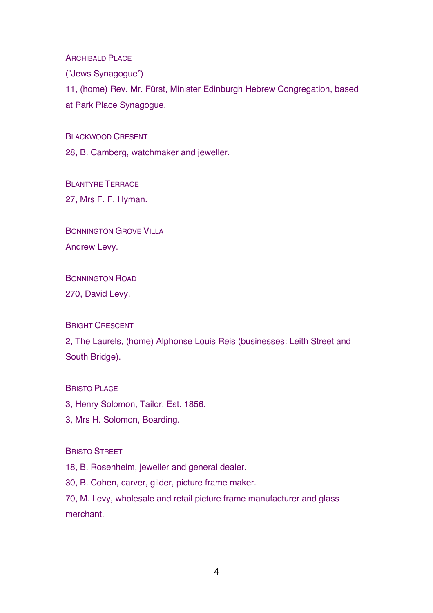ARCHIBALD PLACE

("Jews Synagogue")

11, (home) Rev. Mr. Fürst, Minister Edinburgh Hebrew Congregation, based at Park Place Synagogue.

BLACKWOOD CRESENT

28, B. Camberg, watchmaker and jeweller.

BLANTYRE TERRACE 27, Mrs F. F. Hyman.

BONNINGTON GROVE VILLA Andrew Levy.

BONNINGTON ROAD

270, David Levy.

BRIGHT CRESCENT

2, The Laurels, (home) Alphonse Louis Reis (businesses: Leith Street and South Bridge).

**BRISTO PLACE** 

3, Henry Solomon, Tailor. Est. 1856.

3, Mrs H. Solomon, Boarding.

#### BRISTO STREET

18, B. Rosenheim, jeweller and general dealer.

30, B. Cohen, carver, gilder, picture frame maker.

70, M. Levy, wholesale and retail picture frame manufacturer and glass merchant.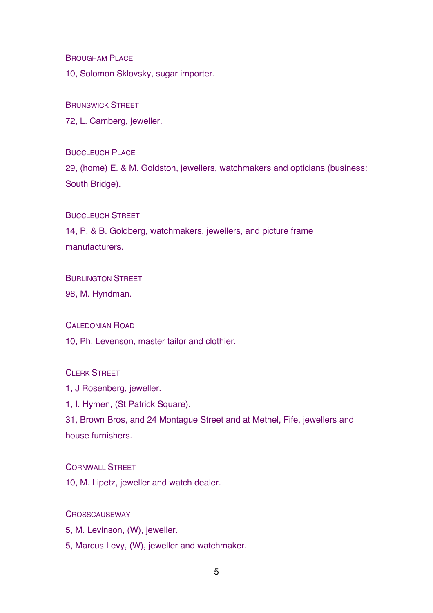BROUGHAM PLACE

10, Solomon Sklovsky, sugar importer.

#### BRUNSWICK STREET

72, L. Camberg, jeweller.

BUCCLEUCH PLACE

29, (home) E. & M. Goldston, jewellers, watchmakers and opticians (business: South Bridge).

#### BUCCLEUCH STREET

14, P. & B. Goldberg, watchmakers, jewellers, and picture frame manufacturers.

#### **BURLINGTON STREET**

98, M. Hyndman.

#### CALEDONIAN ROAD

10, Ph. Levenson, master tailor and clothier.

# CLERK STREET

1, J Rosenberg, jeweller.

1, I. Hymen, (St Patrick Square).

31, Brown Bros, and 24 Montague Street and at Methel, Fife, jewellers and house furnishers.

# CORNWALL STREET

10, M. Lipetz, jeweller and watch dealer.

# **CROSSCAUSEWAY**

5, M. Levinson, (W), jeweller.

5, Marcus Levy, (W), jeweller and watchmaker.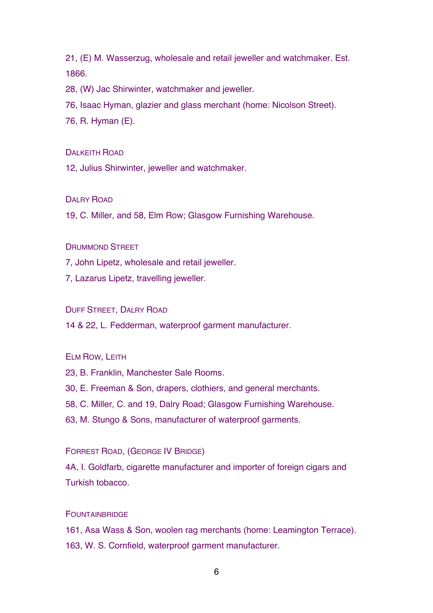21, (E) M. Wasserzug, wholesale and retail jeweller and watchmaker. Est. 1866.

28, (W) Jac Shirwinter, watchmaker and jeweller.

76, Isaac Hyman, glazier and glass merchant (home: Nicolson Street).

76, R. Hyman (E).

#### DALKEITH ROAD

12, Julius Shirwinter, jeweller and watchmaker.

#### DALRY ROAD

19, C. Miller, and 58, Elm Row; Glasgow Furnishing Warehouse.

### DRUMMOND STREET

7, John Lipetz, wholesale and retail jeweller.

7, Lazarus Lipetz, travelling jeweller.

# DUFF STREET, DALRY ROAD

14 & 22, L. Fedderman, waterproof garment manufacturer.

#### ELM ROW, LEITH

23, B. Franklin, Manchester Sale Rooms.

30, E. Freeman & Son, drapers, clothiers, and general merchants.

58, C. Miller, C. and 19, Dalry Road; Glasgow Furnishing Warehouse.

63, M. Stungo & Sons, manufacturer of waterproof garments.

#### FORREST ROAD, (GEORGE IV BRIDGE)

4A, I. Goldfarb, cigarette manufacturer and importer of foreign cigars and Turkish tobacco.

#### **FOUNTAINBRIDGE**

161, Asa Wass & Son, woolen rag merchants (home: Leamington Terrace). 163, W. S. Cornfield, waterproof garment manufacturer.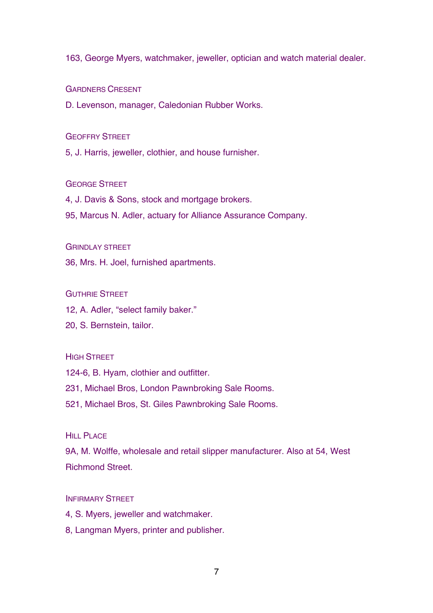163, George Myers, watchmaker, jeweller, optician and watch material dealer.

GARDNERS CRESENT

D. Levenson, manager, Caledonian Rubber Works.

#### GEOFFRY STREET

5, J. Harris, jeweller, clothier, and house furnisher.

# GEORGE STREET

4, J. Davis & Sons, stock and mortgage brokers.

95, Marcus N. Adler, actuary for Alliance Assurance Company.

### **GRINDLAY STREET**

36, Mrs. H. Joel, furnished apartments.

#### GUTHRIE STREET

12, A. Adler, "select family baker."

20, S. Bernstein, tailor.

# **HIGH STREET**

124-6, B. Hyam, clothier and outfitter.

231, Michael Bros, London Pawnbroking Sale Rooms.

521, Michael Bros, St. Giles Pawnbroking Sale Rooms.

### HILL PLACE.

9A, M. Wolffe, wholesale and retail slipper manufacturer. Also at 54, West Richmond Street.

## **INFIRMARY STREET**

- 4, S. Myers, jeweller and watchmaker.
- 8, Langman Myers, printer and publisher.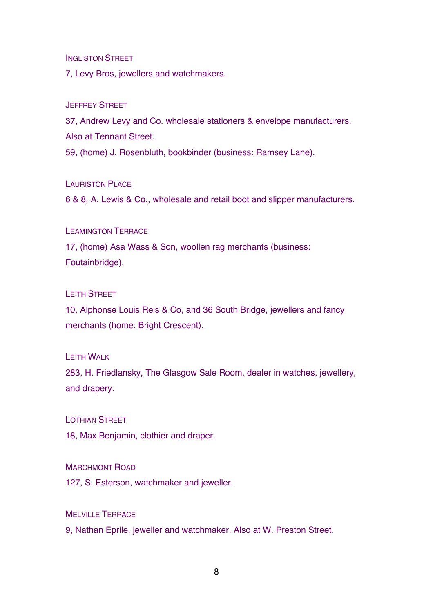#### INGLISTON STREET

7, Levy Bros, jewellers and watchmakers.

#### JEFFREY STREET

37, Andrew Levy and Co. wholesale stationers & envelope manufacturers. Also at Tennant Street.

59, (home) J. Rosenbluth, bookbinder (business: Ramsey Lane).

#### LAURISTON PLACE

6 & 8, A. Lewis & Co., wholesale and retail boot and slipper manufacturers.

#### LEAMINGTON TERRACE

17, (home) Asa Wass & Son, woollen rag merchants (business: Foutainbridge).

#### LEITH STREET

10, Alphonse Louis Reis & Co, and 36 South Bridge, jewellers and fancy merchants (home: Bright Crescent).

# LEITH WALK

283, H. Friedlansky, The Glasgow Sale Room, dealer in watches, jewellery, and drapery.

# LOTHIAN STREET

18, Max Benjamin, clothier and draper.

# MARCHMONT ROAD

127, S. Esterson, watchmaker and jeweller.

# MELVILLE TERRACE

9, Nathan Eprile, jeweller and watchmaker. Also at W. Preston Street.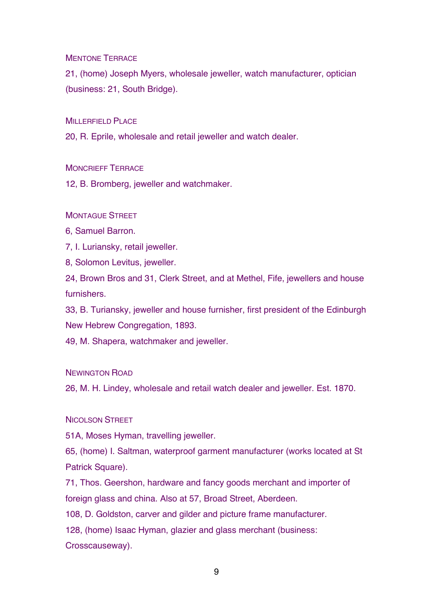MENTONE TERRACE

21, (home) Joseph Myers, wholesale jeweller, watch manufacturer, optician (business: 21, South Bridge).

MILLERFIELD PLACE

20, R. Eprile, wholesale and retail jeweller and watch dealer.

MONCRIEFF TERRACE

12, B. Bromberg, jeweller and watchmaker.

**MONTAGUE STREET** 

6, Samuel Barron.

7, I. Luriansky, retail jeweller.

8, Solomon Levitus, jeweller.

24, Brown Bros and 31, Clerk Street, and at Methel, Fife, jewellers and house furnishers.

33, B. Turiansky, jeweller and house furnisher, first president of the Edinburgh New Hebrew Congregation, 1893.

49, M. Shapera, watchmaker and jeweller.

NEWINGTON ROAD

26, M. H. Lindey, wholesale and retail watch dealer and jeweller. Est. 1870.

NICOLSON STREET

51A, Moses Hyman, travelling jeweller.

65, (home) I. Saltman, waterproof garment manufacturer (works located at St Patrick Square).

71, Thos. Geershon, hardware and fancy goods merchant and importer of foreign glass and china. Also at 57, Broad Street, Aberdeen.

108, D. Goldston, carver and gilder and picture frame manufacturer.

128, (home) Isaac Hyman, glazier and glass merchant (business:

Crosscauseway).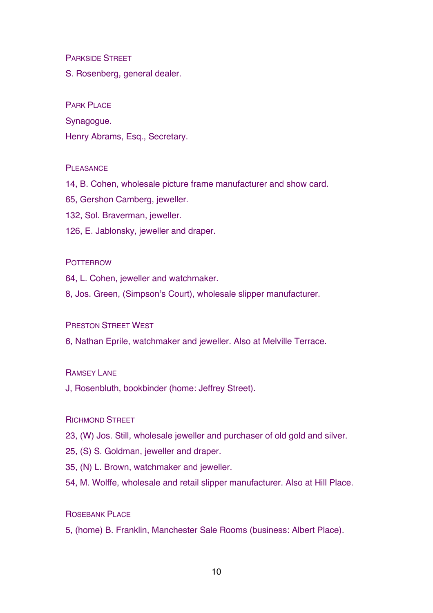PARKSIDE STREET

S. Rosenberg, general dealer.

PARK PLACE

Synagogue.

Henry Abrams, Esq., Secretary.

#### PLEASANCE

- 14, B. Cohen, wholesale picture frame manufacturer and show card.
- 65, Gershon Camberg, jeweller.
- 132, Sol. Braverman, jeweller.
- 126, E. Jablonsky, jeweller and draper.

#### **POTTERROW**

- 64, L. Cohen, jeweller and watchmaker.
- 8, Jos. Green, (Simpson's Court), wholesale slipper manufacturer.

#### PRESTON STREET WEST

6, Nathan Eprile, watchmaker and jeweller. Also at Melville Terrace.

#### RAMSEY LANE

J, Rosenbluth, bookbinder (home: Jeffrey Street).

# RICHMOND STREET

- 23, (W) Jos. Still, wholesale jeweller and purchaser of old gold and silver.
- 25, (S) S. Goldman, jeweller and draper.
- 35, (N) L. Brown, watchmaker and jeweller.
- 54, M. Wolffe, wholesale and retail slipper manufacturer. Also at Hill Place.

# ROSEBANK PLACE

5, (home) B. Franklin, Manchester Sale Rooms (business: Albert Place).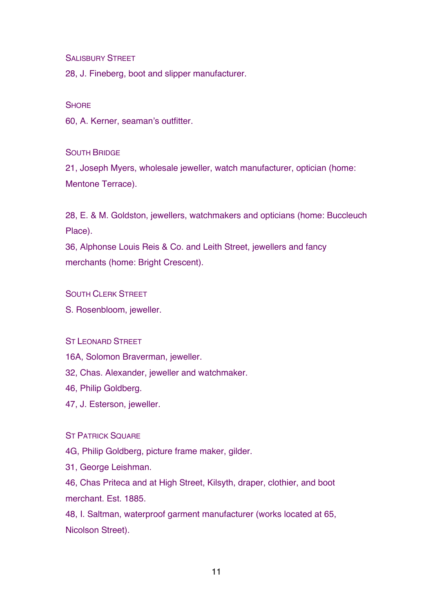SALISBURY STREET

28, J. Fineberg, boot and slipper manufacturer.

#### **SHORE**

60, A. Kerner, seaman's outfitter.

# SOUTH BRIDGE

21, Joseph Myers, wholesale jeweller, watch manufacturer, optician (home: Mentone Terrace).

28, E. & M. Goldston, jewellers, watchmakers and opticians (home: Buccleuch Place).

36, Alphonse Louis Reis & Co. and Leith Street, jewellers and fancy merchants (home: Bright Crescent).

#### SOUTH CLERK STREET

S. Rosenbloom, jeweller.

# ST LEONARD STREET

- 16A, Solomon Braverman, jeweller.
- 32, Chas. Alexander, jeweller and watchmaker.
- 46, Philip Goldberg.
- 47, J. Esterson, jeweller.

ST PATRICK SOUARE

4G, Philip Goldberg, picture frame maker, gilder.

31, George Leishman.

46, Chas Priteca and at High Street, Kilsyth, draper, clothier, and boot merchant. Est. 1885.

48, I. Saltman, waterproof garment manufacturer (works located at 65, Nicolson Street).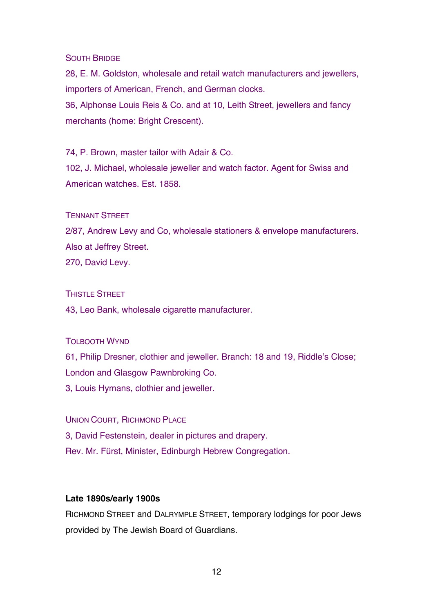## SOUTH BRIDGE

28, E. M. Goldston, wholesale and retail watch manufacturers and jewellers, importers of American, French, and German clocks. 36, Alphonse Louis Reis & Co. and at 10, Leith Street, jewellers and fancy

merchants (home: Bright Crescent).

74, P. Brown, master tailor with Adair & Co.

102, J. Michael, wholesale jeweller and watch factor. Agent for Swiss and American watches. Est. 1858.

# TENNANT STREET

2/87, Andrew Levy and Co, wholesale stationers & envelope manufacturers. Also at Jeffrey Street.

270, David Levy.

#### THISTLE STREET

43, Leo Bank, wholesale cigarette manufacturer.

# TOLBOOTH WYND

61, Philip Dresner, clothier and jeweller. Branch: 18 and 19, Riddle's Close; London and Glasgow Pawnbroking Co. 3, Louis Hymans, clothier and jeweller.

UNION COURT, RICHMOND PLACE 3, David Festenstein, dealer in pictures and drapery. Rev. Mr. Fürst, Minister, Edinburgh Hebrew Congregation.

# **Late 1890s/early 1900s**

RICHMOND STREET and DALRYMPLE STREET, temporary lodgings for poor Jews provided by The Jewish Board of Guardians.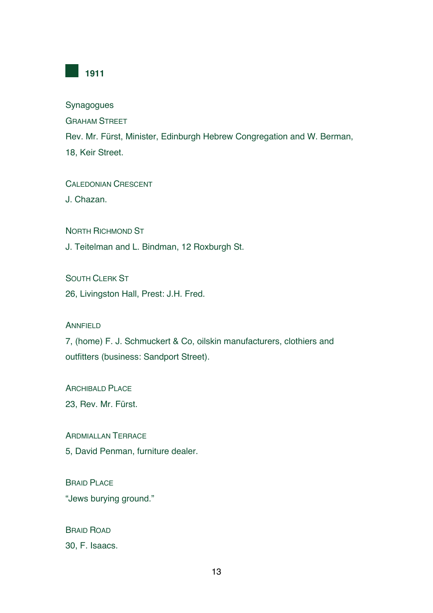

Synagogues

GRAHAM STREET

Rev. Mr. Fürst, Minister, Edinburgh Hebrew Congregation and W. Berman, 18, Keir Street.

CALEDONIAN CRESCENT

J. Chazan.

NORTH RICHMOND ST

J. Teitelman and L. Bindman, 12 Roxburgh St.

SOUTH CLERK ST

26, Livingston Hall, Prest: J.H. Fred.

ANNFIELD

7, (home) F. J. Schmuckert & Co, oilskin manufacturers, clothiers and outfitters (business: Sandport Street).

ARCHIBALD PLACE

23, Rev. Mr. Fürst.

ARDMIALLAN TERRACE

5, David Penman, furniture dealer.

BRAID PLACE "Jews burying ground."

BRAID ROAD 30, F. Isaacs.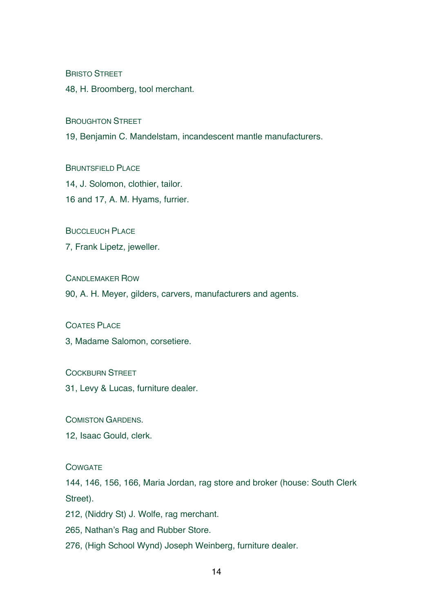**BRISTO STREET** 

48, H. Broomberg, tool merchant.

BROUGHTON STREET

19, Benjamin C. Mandelstam, incandescent mantle manufacturers.

BRUNTSFIELD PLACE 14, J. Solomon, clothier, tailor. 16 and 17, A. M. Hyams, furrier.

**BUCCLEUCH PLACE** 

7, Frank Lipetz, jeweller.

CANDLEMAKER ROW

90, A. H. Meyer, gilders, carvers, manufacturers and agents.

#### COATES PLACE

3, Madame Salomon, corsetiere.

#### COCKBURN STREET

31, Levy & Lucas, furniture dealer.

COMISTON GARDENS.

12, Isaac Gould, clerk.

# **COWGATE**

144, 146, 156, 166, Maria Jordan, rag store and broker (house: South Clerk Street).

212, (Niddry St) J. Wolfe, rag merchant.

265, Nathan's Rag and Rubber Store.

276, (High School Wynd) Joseph Weinberg, furniture dealer.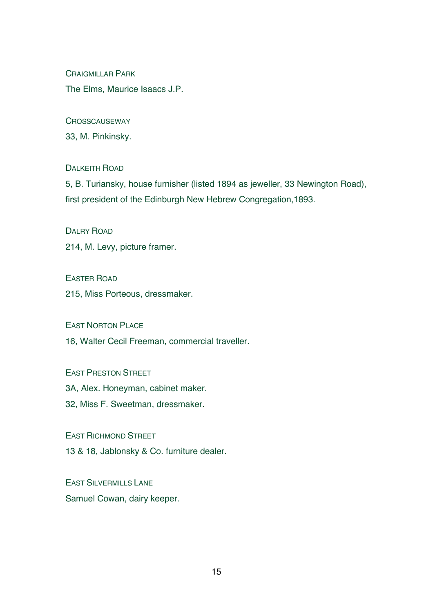CRAIGMILLAR PARK The Elms, Maurice Isaacs J.P.

**CROSSCAUSEWAY** 

33, M. Pinkinsky.

# DALKEITH ROAD

5, B. Turiansky, house furnisher (listed 1894 as jeweller, 33 Newington Road), first president of the Edinburgh New Hebrew Congregation,1893.

DAI RY ROAD

214, M. Levy, picture framer.

EASTER ROAD

215, Miss Porteous, dressmaker.

EAST NORTON PLACE

16, Walter Cecil Freeman, commercial traveller.

EAST PRESTON STREET

3A, Alex. Honeyman, cabinet maker.

32, Miss F. Sweetman, dressmaker.

EAST RICHMOND STREET

13 & 18, Jablonsky & Co. furniture dealer.

EAST SILVERMILLS LANE Samuel Cowan, dairy keeper.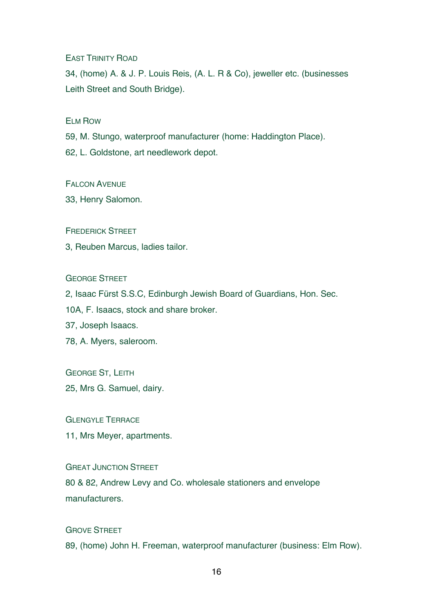EAST TRINITY ROAD

34, (home) A. & J. P. Louis Reis, (A. L. R & Co), jeweller etc. (businesses Leith Street and South Bridge).

ELM ROW

59, M. Stungo, waterproof manufacturer (home: Haddington Place).

62, L. Goldstone, art needlework depot.

FALCON AVENUE

33, Henry Salomon.

FREDERICK STREET

3, Reuben Marcus, ladies tailor.

GEORGE STREET

2, Isaac Fürst S.S.C, Edinburgh Jewish Board of Guardians, Hon. Sec.

10A, F. Isaacs, stock and share broker.

37, Joseph Isaacs.

78, A. Myers, saleroom.

GEORGE ST, LEITH

25, Mrs G. Samuel, dairy.

GLENGYLE TERRACE 11, Mrs Meyer, apartments.

GREAT JUNCTION STREET 80 & 82, Andrew Levy and Co. wholesale stationers and envelope manufacturers.

GROVE STREET 89, (home) John H. Freeman, waterproof manufacturer (business: Elm Row).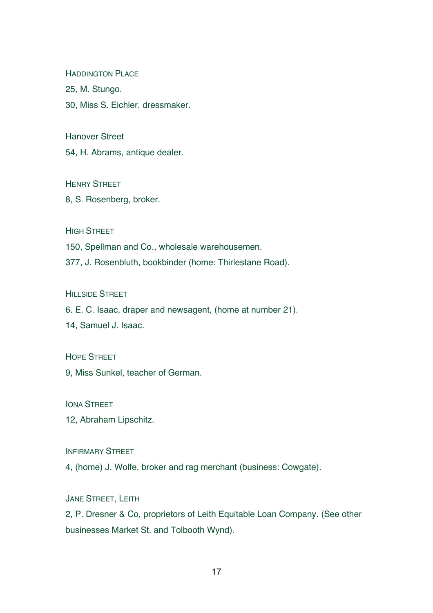**HADDINGTON PLACE** 

25, M. Stungo.

30, Miss S. Eichler, dressmaker.

Hanover Street

54, H. Abrams, antique dealer.

HENRY STREET

8, S. Rosenberg, broker.

**HIGH STREET** 

150, Spellman and Co., wholesale warehousemen.

377, J. Rosenbluth, bookbinder (home: Thirlestane Road).

**HILLSIDE STREET** 

6. E. C. Isaac, draper and newsagent, (home at number 21).

14, Samuel J. Isaac.

HOPE STREET

9, Miss Sunkel, teacher of German.

IONA STREET

12, Abraham Lipschitz.

INFIRMARY STREET

4, (home) J. Wolfe, broker and rag merchant (business: Cowgate).

JANE STREET, LEITH

2, P. Dresner & Co, proprietors of Leith Equitable Loan Company. (See other businesses Market St. and Tolbooth Wynd).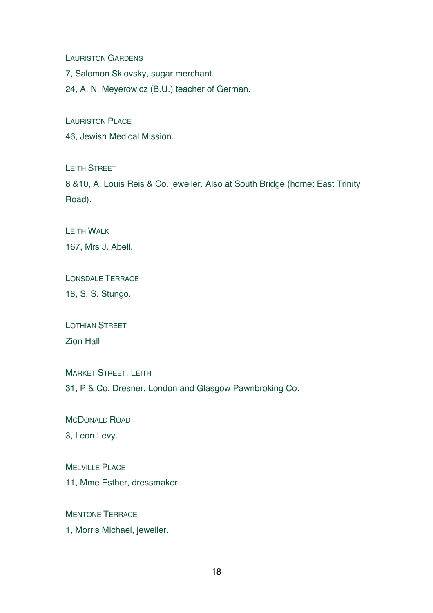LAURISTON GARDENS

7, Salomon Sklovsky, sugar merchant.

24, A. N. Meyerowicz (B.U.) teacher of German.

LAURISTON PLACE

46, Jewish Medical Mission.

LEITH STREET

8 &10, A. Louis Reis & Co. jeweller. Also at South Bridge (home: East Trinity Road).

LEITH WALK

167, Mrs J. Abell.

LONSDALE TERRACE

18, S. S. Stungo.

LOTHIAN STREET Zion Hall

MARKET STREET, LEITH 31, P & Co. Dresner, London and Glasgow Pawnbroking Co.

MCDONALD ROAD

3, Leon Levy.

MELVILLE PLACE

11, Mme Esther, dressmaker.

MENTONE TERRACE

1, Morris Michael, jeweller.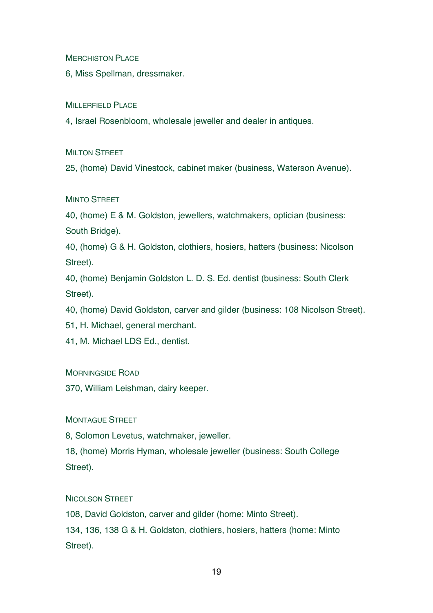MERCHISTON PLACE

6, Miss Spellman, dressmaker.

MILLERFIELD PLACE

4, Israel Rosenbloom, wholesale jeweller and dealer in antiques.

**MILTON STREET** 

25, (home) David Vinestock, cabinet maker (business, Waterson Avenue).

# **MINTO STREET**

40, (home) E & M. Goldston, jewellers, watchmakers, optician (business: South Bridge).

40, (home) G & H. Goldston, clothiers, hosiers, hatters (business: Nicolson Street).

40, (home) Benjamin Goldston L. D. S. Ed. dentist (business: South Clerk Street).

40, (home) David Goldston, carver and gilder (business: 108 Nicolson Street).

51, H. Michael, general merchant.

41, M. Michael LDS Ed., dentist.

MORNINGSIDE ROAD

370, William Leishman, dairy keeper.

MONTAGUE STREET

8, Solomon Levetus, watchmaker, jeweller.

18, (home) Morris Hyman, wholesale jeweller (business: South College Street).

NICOLSON STREET

108, David Goldston, carver and gilder (home: Minto Street). 134, 136, 138 G & H. Goldston, clothiers, hosiers, hatters (home: Minto Street).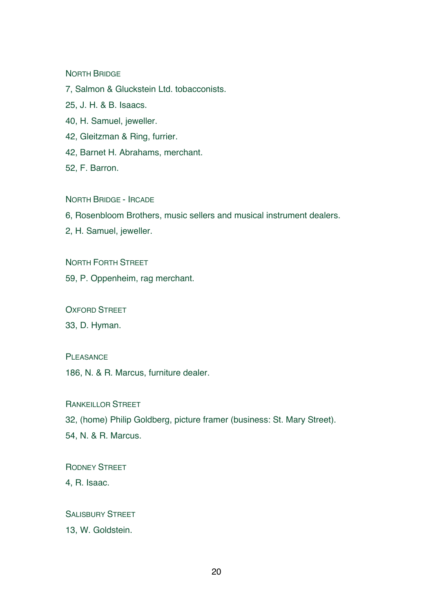#### NORTH BRIDGE

7, Salmon & Gluckstein Ltd. tobacconists.

25, J. H. & B. Isaacs.

40, H. Samuel, jeweller.

42, Gleitzman & Ring, furrier.

42, Barnet H. Abrahams, merchant.

52, F. Barron.

NORTH BRIDGE - IRCADE

6, Rosenbloom Brothers, music sellers and musical instrument dealers.

2, H. Samuel, jeweller.

NORTH FORTH STREET

59, P. Oppenheim, rag merchant.

OXFORD STREET

33, D. Hyman.

PI FASANCE

186, N. & R. Marcus, furniture dealer.

RANKEILLOR STREET

32, (home) Philip Goldberg, picture framer (business: St. Mary Street).

54, N. & R. Marcus.

RODNEY STREET

4, R. Isaac.

SALISBURY STREET

13, W. Goldstein.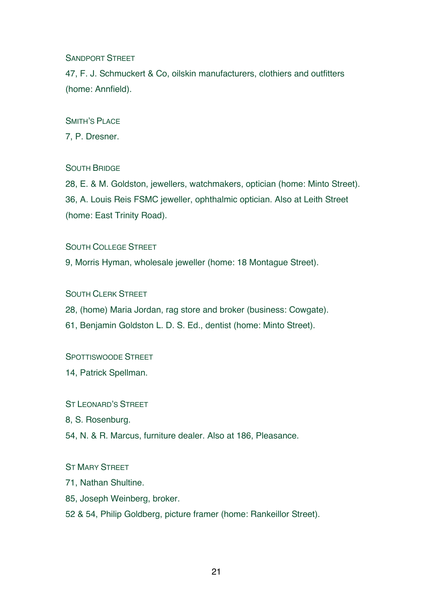# SANDPORT STREET

47, F. J. Schmuckert & Co, oilskin manufacturers, clothiers and outfitters (home: Annfield).

# SMITH'S PLACE

7, P. Dresner.

# SOUTH BRIDGE

28, E. & M. Goldston, jewellers, watchmakers, optician (home: Minto Street). 36, A. Louis Reis FSMC jeweller, ophthalmic optician. Also at Leith Street (home: East Trinity Road).

# SOUTH COLLEGE STREET

9, Morris Hyman, wholesale jeweller (home: 18 Montague Street).

# SOUTH CLERK STREET

28, (home) Maria Jordan, rag store and broker (business: Cowgate).

61, Benjamin Goldston L. D. S. Ed., dentist (home: Minto Street).

# SPOTTISWOODE STREET

14, Patrick Spellman.

# ST LEONARD'S STREET

8, S. Rosenburg.

54, N. & R. Marcus, furniture dealer. Also at 186, Pleasance.

# ST MARY STREET

- 71, Nathan Shultine.
- 85, Joseph Weinberg, broker.
- 52 & 54, Philip Goldberg, picture framer (home: Rankeillor Street).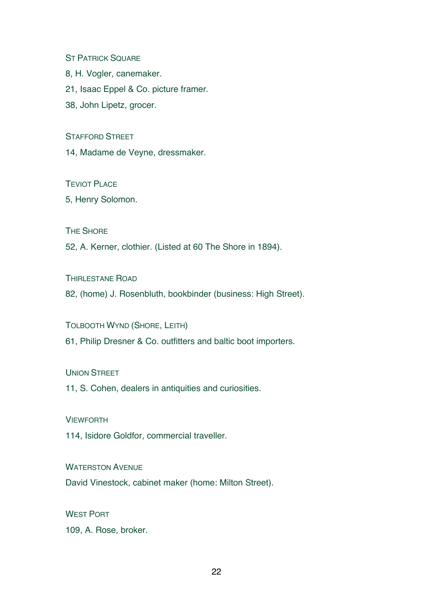**ST PATRICK SQUARE** 

8, H. Vogler, canemaker.

21, Isaac Eppel & Co. picture framer.

38, John Lipetz, grocer.

STAFFORD STREET

14, Madame de Veyne, dressmaker.

TEVIOT PLACE

5, Henry Solomon.

THE SHORE

52, A. Kerner, clothier. (Listed at 60 The Shore in 1894).

THIRLESTANE ROAD

82, (home) J. Rosenbluth, bookbinder (business: High Street).

TOLBOOTH WYND (SHORE, LEITH)

61, Philip Dresner & Co. outfitters and baltic boot importers.

UNION STREET

11, S. Cohen, dealers in antiquities and curiosities.

**VIEWFORTH** 

114, Isidore Goldfor, commercial traveller.

WATERSTON AVENUE

David Vinestock, cabinet maker (home: Milton Street).

WEST PORT

109, A. Rose, broker.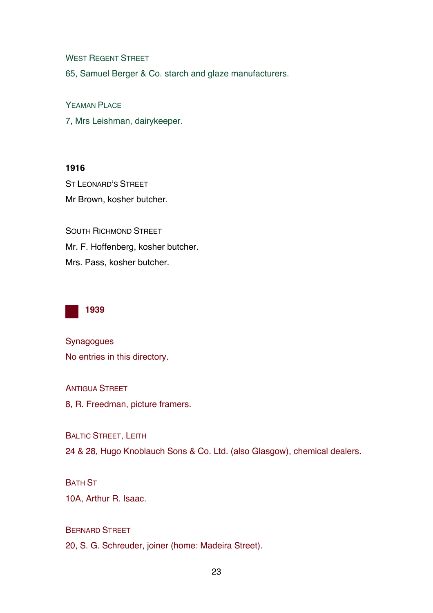WEST REGENT STREET

65, Samuel Berger & Co. starch and glaze manufacturers.

YEAMAN PLACE

7, Mrs Leishman, dairykeeper.

# **1916**

ST LEONARD'S STREET Mr Brown, kosher butcher.

SOUTH RICHMOND STREET Mr. F. Hoffenberg, kosher butcher. Mrs. Pass, kosher butcher.



Synagogues No entries in this directory.

**ANTIGUA STREET** 

8, R. Freedman, picture framers.

BALTIC STREET, LEITH 24 & 28, Hugo Knoblauch Sons & Co. Ltd. (also Glasgow), chemical dealers.

# BATH ST

10A, Arthur R. Isaac.

# BERNARD STREET

20, S. G. Schreuder, joiner (home: Madeira Street).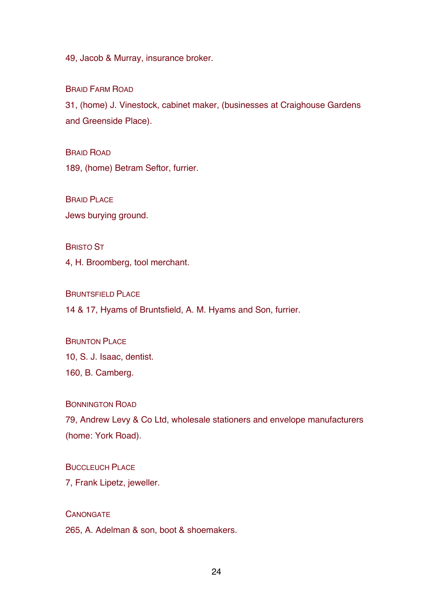49, Jacob & Murray, insurance broker.

BRAID FARM ROAD

31, (home) J. Vinestock, cabinet maker, (businesses at Craighouse Gardens and Greenside Place).

BRAID ROAD 189, (home) Betram Seftor, furrier.

**BRAID PLACE** Jews burying ground.

BRISTO ST

4, H. Broomberg, tool merchant.

BRUNTSFIELD PLACE

14 & 17, Hyams of Bruntsfield, A. M. Hyams and Son, furrier.

**BRUNTON PLACE** 10, S. J. Isaac, dentist. 160, B. Camberg.

BONNINGTON ROAD

79, Andrew Levy & Co Ltd, wholesale stationers and envelope manufacturers (home: York Road).

BUCCLEUCH PLACE

7, Frank Lipetz, jeweller.

**CANONGATE** 

265, A. Adelman & son, boot & shoemakers.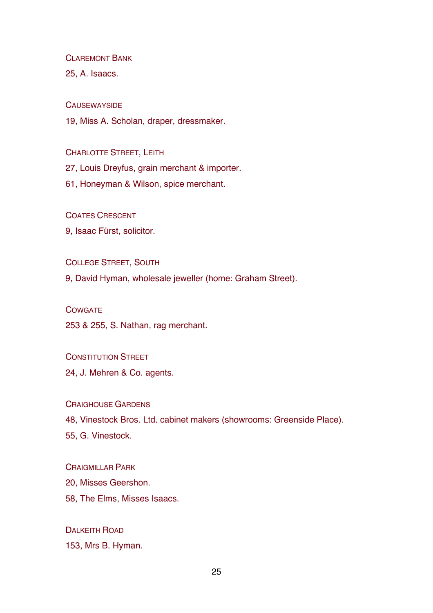CLAREMONT BANK

25, A. Isaacs.

**CAUSEWAYSIDE** 

19, Miss A. Scholan, draper, dressmaker.

CHARLOTTE STREET, LEITH

27, Louis Dreyfus, grain merchant & importer.

61, Honeyman & Wilson, spice merchant.

COATES CRESCENT

9, Isaac Fürst, solicitor.

COLLEGE STREET, SOUTH

9, David Hyman, wholesale jeweller (home: Graham Street).

**COWGATE** 

253 & 255, S. Nathan, rag merchant.

CONSTITUTION STREET

24, J. Mehren & Co. agents.

CRAIGHOUSE GARDENS

48, Vinestock Bros. Ltd. cabinet makers (showrooms: Greenside Place).

55, G. Vinestock.

CRAIGMILLAR PARK

20, Misses Geershon.

58, The Elms, Misses Isaacs.

DALKEITH ROAD 153, Mrs B. Hyman.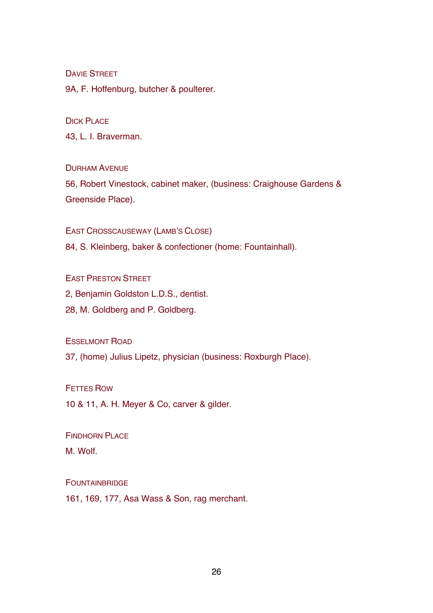DAVIE STREET

9A, F. Hoffenburg, butcher & poulterer.

DICK PLACE

43, L. I. Braverman.

DURHAM AVENUE

56, Robert Vinestock, cabinet maker, (business: Craighouse Gardens & Greenside Place).

EAST CROSSCAUSEWAY (LAMB'S CLOSE)

84, S. Kleinberg, baker & confectioner (home: Fountainhall).

EAST PRESTON STREET

2, Benjamin Goldston L.D.S., dentist.

28, M. Goldberg and P. Goldberg.

ESSELMONT ROAD

37, (home) Julius Lipetz, physician (business: Roxburgh Place).

FETTES ROW

10 & 11, A. H. Meyer & Co, carver & gilder.

FINDHORN PLACE

M. Wolf.

FOUNTAINBRIDGE

161, 169, 177, Asa Wass & Son, rag merchant.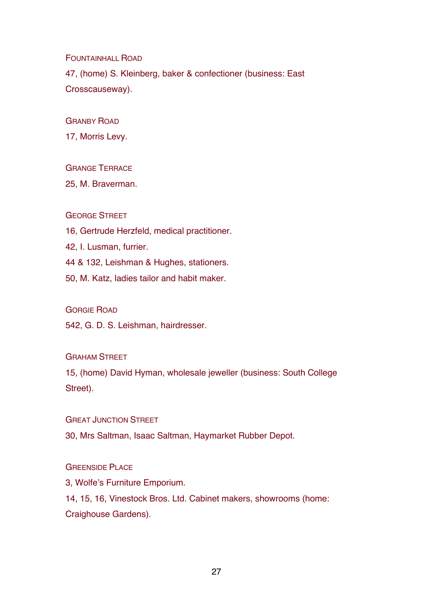FOUNTAINHALL ROAD

47, (home) S. Kleinberg, baker & confectioner (business: East Crosscauseway).

GRANBY ROAD

17, Morris Levy.

# GRANGE TERRACE

25, M. Braverman.

#### GEORGE STREET

16, Gertrude Herzfeld, medical practitioner.

42, I. Lusman, furrier.

44 & 132, Leishman & Hughes, stationers.

50, M. Katz, ladies tailor and habit maker.

GORGIE ROAD

542, G. D. S. Leishman, hairdresser.

# **GRAHAM STREET**

15, (home) David Hyman, wholesale jeweller (business: South College Street).

**GREAT JUNCTION STREET** 

30, Mrs Saltman, Isaac Saltman, Haymarket Rubber Depot.

# GREENSIDE PLACE

3, Wolfe's Furniture Emporium.

14, 15, 16, Vinestock Bros. Ltd. Cabinet makers, showrooms (home: Craighouse Gardens).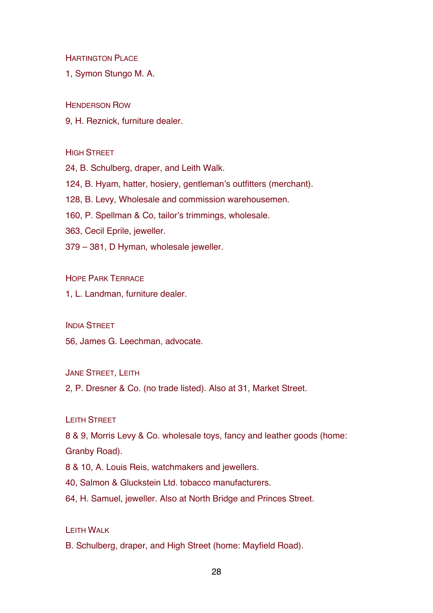**HARTINGTON PLACE** 

1, Symon Stungo M. A.

HENDERSON ROW

9, H. Reznick, furniture dealer.

**HIGH STREET** 

24, B. Schulberg, draper, and Leith Walk.

124, B. Hyam, hatter, hosiery, gentleman's outfitters (merchant).

128, B. Levy, Wholesale and commission warehousemen.

160, P. Spellman & Co, tailor's trimmings, wholesale.

363, Cecil Eprile, jeweller.

379 – 381, D Hyman, wholesale jeweller.

HOPE PARK TERRACE

1, L. Landman, furniture dealer.

INDIA STREET

56, James G. Leechman, advocate.

JANE STREET, LEITH

2, P. Dresner & Co. (no trade listed). Also at 31, Market Street.

LEITH STREET

8 & 9, Morris Levy & Co. wholesale toys, fancy and leather goods (home: Granby Road).

8 & 10, A. Louis Reis, watchmakers and jewellers.

40, Salmon & Gluckstein Ltd. tobacco manufacturers.

64, H. Samuel, jeweller. Also at North Bridge and Princes Street.

LEITH WALK

B. Schulberg, draper, and High Street (home: Mayfield Road).

28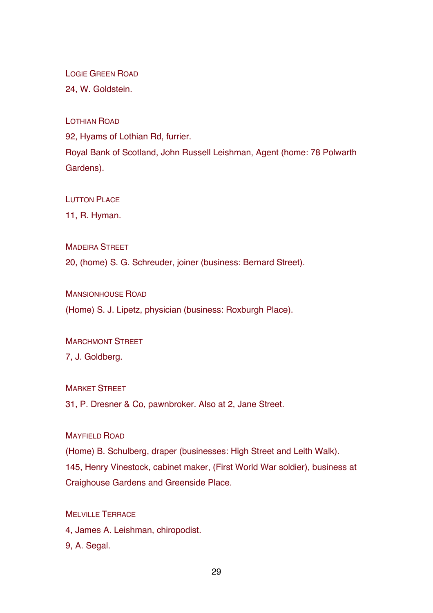LOGIE GREEN ROAD

24, W. Goldstein.

LOTHIAN ROAD

92, Hyams of Lothian Rd, furrier.

Royal Bank of Scotland, John Russell Leishman, Agent (home: 78 Polwarth Gardens).

LUTTON PLACE

11, R. Hyman.

**MADEIRA STREET** 

20, (home) S. G. Schreuder, joiner (business: Bernard Street).

MANSIONHOUSE ROAD

(Home) S. J. Lipetz, physician (business: Roxburgh Place).

**MARCHMONT STREET** 

7, J. Goldberg.

**MARKET STREET** 

31, P. Dresner & Co, pawnbroker. Also at 2, Jane Street.

MAYFIELD ROAD

(Home) B. Schulberg, draper (businesses: High Street and Leith Walk). 145, Henry Vinestock, cabinet maker, (First World War soldier), business at Craighouse Gardens and Greenside Place.

MELVILLE TERRACE

4, James A. Leishman, chiropodist.

9, A. Segal.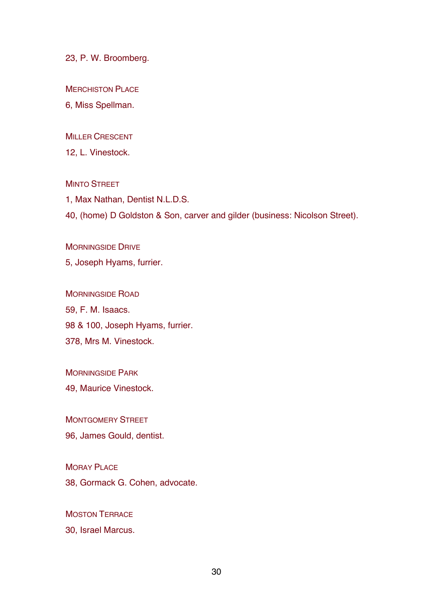23, P. W. Broomberg.

MERCHISTON PLACE

6, Miss Spellman.

MILLER CRESCENT

12, L. Vinestock.

**MINTO STREET** 

1, Max Nathan, Dentist N.L.D.S. 40, (home) D Goldston & Son, carver and gilder (business: Nicolson Street).

MORNINGSIDE DRIVE 5, Joseph Hyams, furrier.

MORNINGSIDE ROAD 59, F. M. Isaacs. 98 & 100, Joseph Hyams, furrier. 378, Mrs M. Vinestock.

MORNINGSIDE PARK 49, Maurice Vinestock.

MONTGOMERY STREET 96, James Gould, dentist.

MORAY PLACE 38, Gormack G. Cohen, advocate.

MOSTON TERRACE 30, Israel Marcus.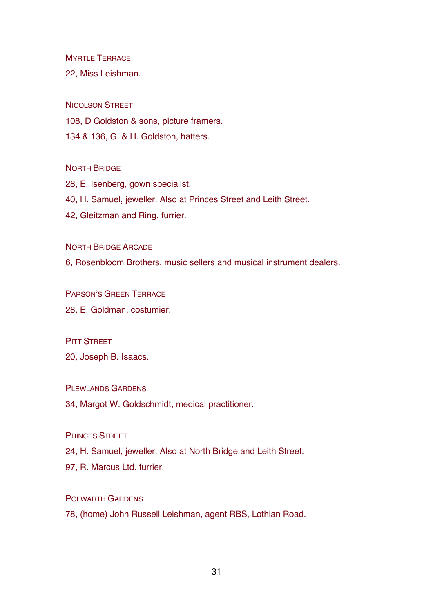MYRTLE TERRACE

22, Miss Leishman.

NICOLSON STREET

108, D Goldston & sons, picture framers.

134 & 136, G. & H. Goldston, hatters.

#### NORTH BRIDGE

28, E. Isenberg, gown specialist. 40, H. Samuel, jeweller. Also at Princes Street and Leith Street. 42, Gleitzman and Ring, furrier.

NORTH BRIDGE ARCADE

6, Rosenbloom Brothers, music sellers and musical instrument dealers.

PARSON'S GREEN TERRACE

28, E. Goldman, costumier.

# **PITT STREET**

20, Joseph B. Isaacs.

# PLEWLANDS GARDENS

34, Margot W. Goldschmidt, medical practitioner.

# PRINCES STREET

24, H. Samuel, jeweller. Also at North Bridge and Leith Street.

97, R. Marcus Ltd. furrier.

# POLWARTH GARDENS

78, (home) John Russell Leishman, agent RBS, Lothian Road.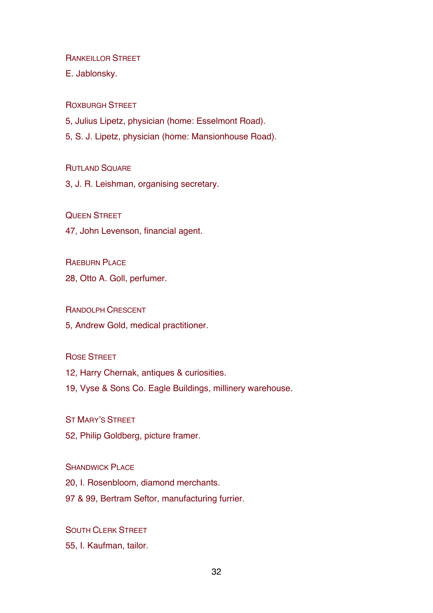RANKEILLOR STREET

E. Jablonsky.

ROXBURGH STREET

5, Julius Lipetz, physician (home: Esselmont Road).

5, S. J. Lipetz, physician (home: Mansionhouse Road).

**RUTLAND SQUARE** 

3, J. R. Leishman, organising secretary.

QUEEN STREET

47, John Levenson, financial agent.

RAEBURN PLACE

28, Otto A. Goll, perfumer.

RANDOLPH CRESCENT

5, Andrew Gold, medical practitioner.

ROSE STREET

12, Harry Chernak, antiques & curiosities.

19, Vyse & Sons Co. Eagle Buildings, millinery warehouse.

ST MARY'S STREET

52, Philip Goldberg, picture framer.

**SHANDWICK PLACE** 

20, I. Rosenbloom, diamond merchants.

97 & 99, Bertram Seftor, manufacturing furrier.

SOUTH CLERK STREET

55, I. Kaufman, tailor.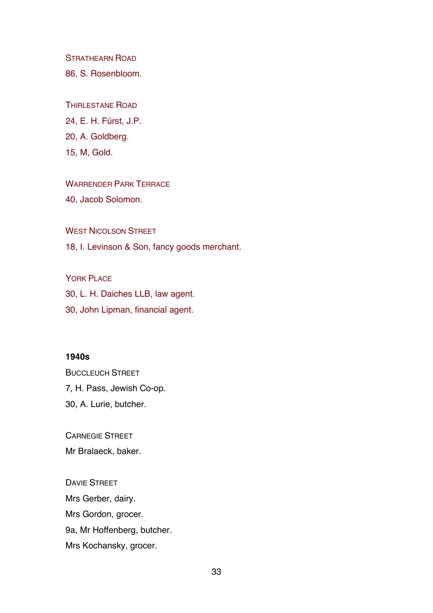STRATHEARN ROAD

86, S. Rosenbloom.

THIRLESTANE ROAD

24, E. H. Fürst, J.P.

20, A. Goldberg.

15, M, Gold.

WARRENDER PARK TERRACE

40, Jacob Solomon.

WEST NICOLSON STREET

18, I. Levinson & Son, fancy goods merchant.

YORK PLACE 30, L. H. Daiches LLB, law agent. 30, John Lipman, financial agent.

# **1940s**

BUCCLEUCH STREET 7, H. Pass, Jewish Co-op. 30, A. Lurie, butcher.

CARNEGIE STREET

Mr Bralaeck, baker.

DAVIE STREET Mrs Gerber, dairy. Mrs Gordon, grocer. 9a, Mr Hoffenberg, butcher. Mrs Kochansky, grocer.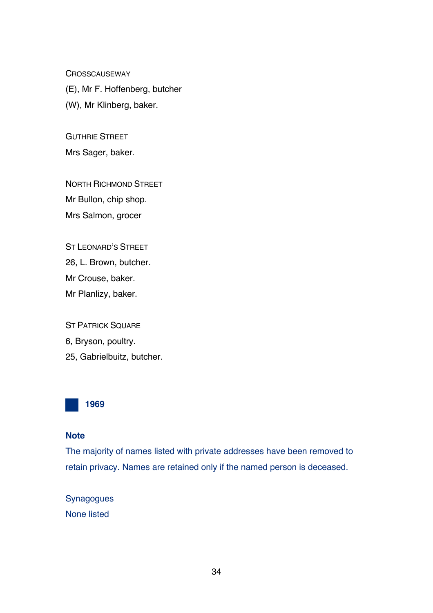**CROSSCAUSEWAY** 

(E), Mr F. Hoffenberg, butcher (W), Mr Klinberg, baker.

GUTHRIE STREET

Mrs Sager, baker.

NORTH RICHMOND STREET Mr Bullon, chip shop. Mrs Salmon, grocer

ST LEONARD'S STREET 26, L. Brown, butcher. Mr Crouse, baker. Mr Planlizy, baker.

**ST PATRICK SQUARE** 6, Bryson, poultry. 25, Gabrielbuitz, butcher.



# **Note**

The majority of names listed with private addresses have been removed to retain privacy. Names are retained only if the named person is deceased.

Synagogues None listed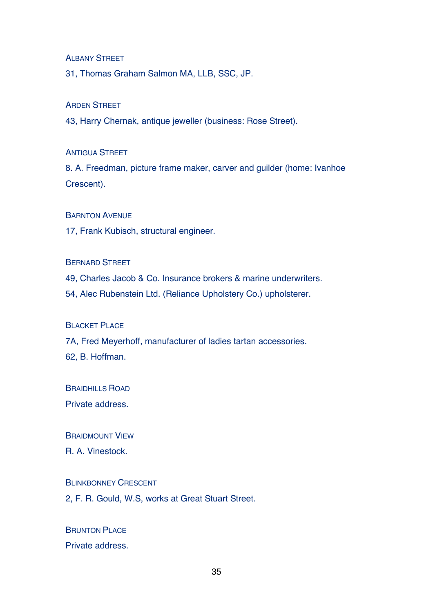ALBANY STREET

31, Thomas Graham Salmon MA, LLB, SSC, JP.

#### ARDEN STREET

43, Harry Chernak, antique jeweller (business: Rose Street).

#### ANTIGUA STREET

8. A. Freedman, picture frame maker, carver and guilder (home: Ivanhoe Crescent).

#### BARNTON AVENUE

17, Frank Kubisch, structural engineer.

#### BERNARD STREET

49, Charles Jacob & Co. Insurance brokers & marine underwriters.

54, Alec Rubenstein Ltd. (Reliance Upholstery Co.) upholsterer.

#### **BLACKET PLACE**

7A, Fred Meyerhoff, manufacturer of ladies tartan accessories.

62, B. Hoffman.

BRAIDHILLS ROAD

Private address.

#### BRAIDMOUNT VIEW

R. A. Vinestock.

# BLINKBONNEY CRESCENT

2, F. R. Gould, W.S, works at Great Stuart Street.

# **BRUNTON PLACE** Private address.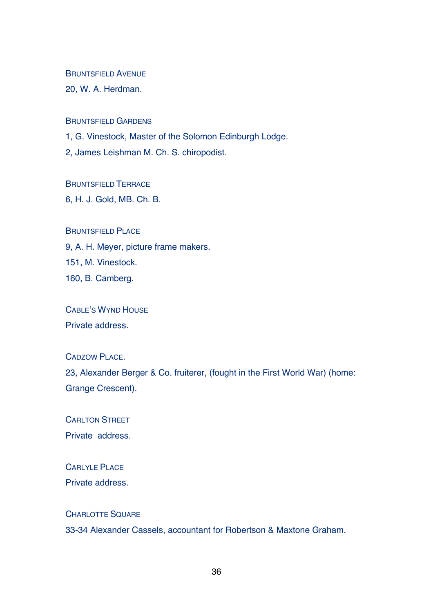BRUNTSFIFLD AVENUE

20, W. A. Herdman.

BRUNTSFIELD GARDENS

1, G. Vinestock, Master of the Solomon Edinburgh Lodge.

2, James Leishman M. Ch. S. chiropodist.

BRUNTSFIELD TERRACE

6, H. J. Gold, MB. Ch. B.

#### BRUNTSFIFLD PLACE

9, A. H. Meyer, picture frame makers. 151, M. Vinestock. 160, B. Camberg.

CABLE'S WYND HOUSE Private address.

CADZOW PLACE.

23, Alexander Berger & Co. fruiterer, (fought in the First World War) (home: Grange Crescent).

CARLTON STREET Private address.

CARLYLE PLACE Private address.

# CHARLOTTE SQUARE 33-34 Alexander Cassels, accountant for Robertson & Maxtone Graham.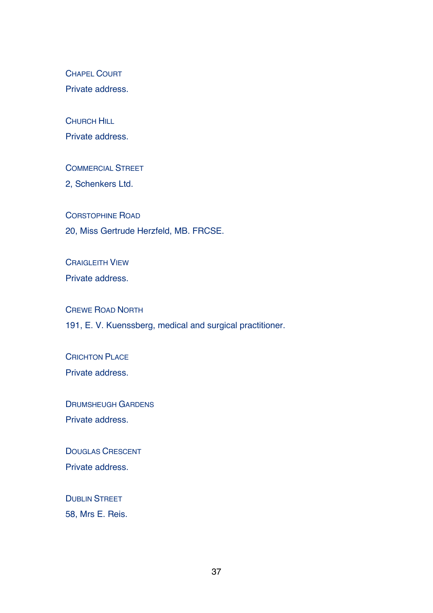CHAPEL COURT

Private address.

**CHURCH HILL** 

Private address.

COMMERCIAL STREET

2, Schenkers Ltd.

CORSTOPHINE ROAD

20, Miss Gertrude Herzfeld, MB. FRCSE.

CRAIGLEITH VIEW

Private address.

CREWE ROAD NORTH

191, E. V. Kuenssberg, medical and surgical practitioner.

**CRICHTON PLACE** 

Private address.

DRUMSHEUGH GARDENS Private address.

DOUGLAS CRESCENT Private address.

DUBLIN STREET 58, Mrs E. Reis.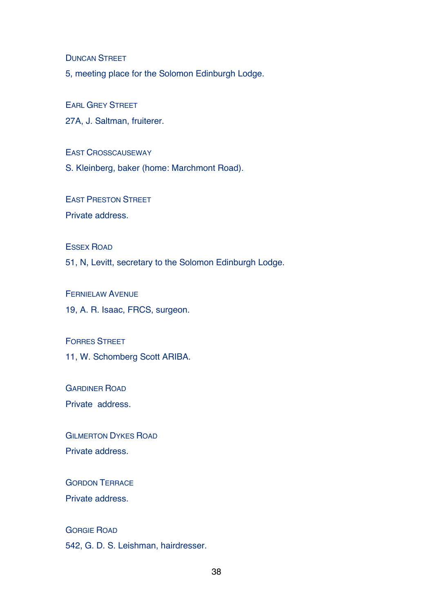DUNCAN STREET

5, meeting place for the Solomon Edinburgh Lodge.

EARL GREY STREET

27A, J. Saltman, fruiterer.

EAST CROSSCAUSEWAY

S. Kleinberg, baker (home: Marchmont Road).

EAST PRESTON STREET Private address.

ESSEX ROAD

51, N, Levitt, secretary to the Solomon Edinburgh Lodge.

FERNIELAW AVENUE 19, A. R. Isaac, FRCS, surgeon.

FORRES STREET 11, W. Schomberg Scott ARIBA.

GARDINER ROAD

Private address.

**GILMERTON DYKES ROAD** Private address.

GORDON TERRACE Private address.

GORGIE ROAD 542, G. D. S. Leishman, hairdresser.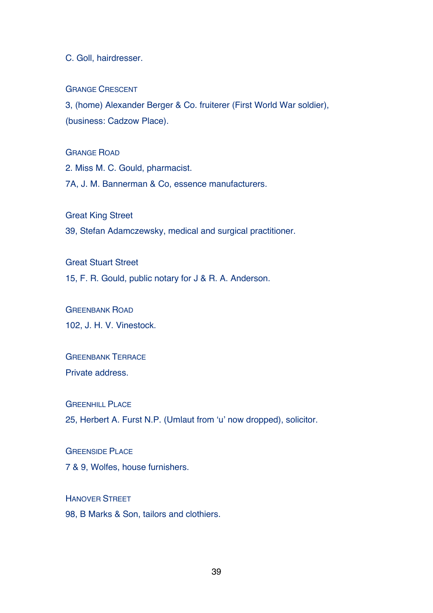C. Goll, hairdresser.

GRANGE CRESCENT

3, (home) Alexander Berger & Co. fruiterer (First World War soldier), (business: Cadzow Place).

GRANGE ROAD

2. Miss M. C. Gould, pharmacist.

7A, J. M. Bannerman & Co, essence manufacturers.

Great King Street

39, Stefan Adamczewsky, medical and surgical practitioner.

Great Stuart Street

15, F. R. Gould, public notary for J & R. A. Anderson.

GREENBANK ROAD 102, J. H. V. Vinestock.

**GREENBANK TERRACE** Private address.

**GREENHILL PLACE** 

25, Herbert A. Furst N.P. (Umlaut from ʻu' now dropped), solicitor.

**GREENSIDE PLACE** 7 & 9, Wolfes, house furnishers.

**HANOVER STREET** 98, B Marks & Son, tailors and clothiers.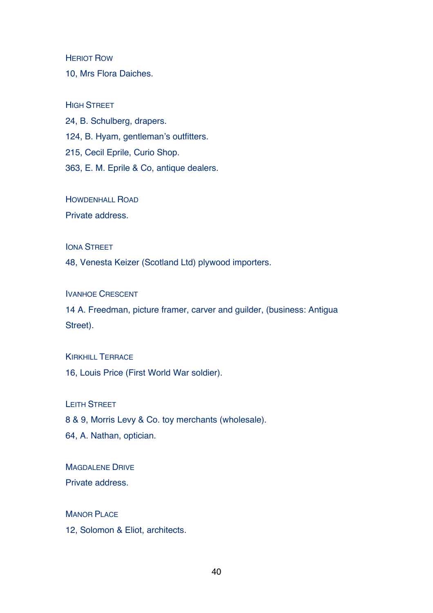HERIOT ROW

10, Mrs Flora Daiches.

#### HIGH STREET

24, B. Schulberg, drapers. 124, B. Hyam, gentleman's outfitters. 215, Cecil Eprile, Curio Shop. 363, E. M. Eprile & Co, antique dealers.

HOWDENHALL ROAD

Private address.

**IONA STREET** 

48, Venesta Keizer (Scotland Ltd) plywood importers.

IVANHOE CRESCENT

14 A. Freedman, picture framer, carver and guilder, (business: Antigua Street).

KIRKHILL TERRACE 16, Louis Price (First World War soldier).

LEITH STREET 8 & 9, Morris Levy & Co. toy merchants (wholesale). 64, A. Nathan, optician.

MAGDALENE DRIVE Private address.

**MANOR PLACE** 12, Solomon & Eliot, architects.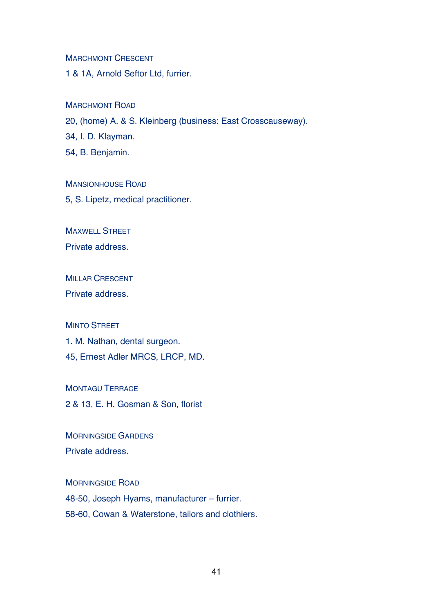**MARCHMONT CRESCENT** 

1 & 1A, Arnold Seftor Ltd, furrier.

#### MARCHMONT ROAD

20, (home) A. & S. Kleinberg (business: East Crosscauseway).

34, I. D. Klayman.

54, B. Benjamin.

MANSIONHOUSE ROAD

5, S. Lipetz, medical practitioner.

MAXWELL STREET

Private address.

MILLAR CRESCENT

Private address.

#### **MINTO STREET**

1. M. Nathan, dental surgeon. 45, Ernest Adler MRCS, LRCP, MD.

MONTAGU TERRACE 2 & 13, E. H. Gosman & Son, florist

MORNINGSIDE GARDENS Private address.

MORNINGSIDE ROAD

48-50, Joseph Hyams, manufacturer – furrier.

58-60, Cowan & Waterstone, tailors and clothiers.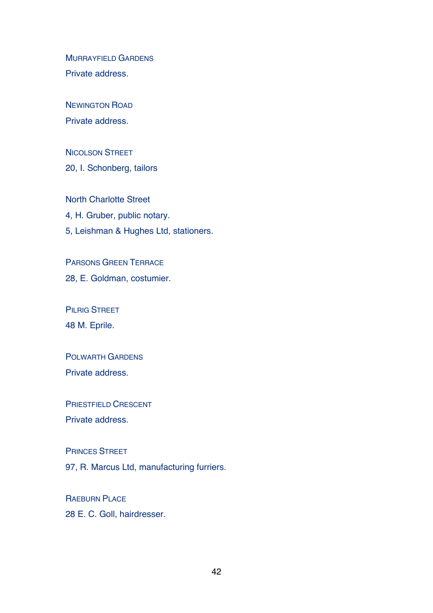MURRAYFIELD GARDENS Private address.

NEWINGTON ROAD Private address.

NICOLSON STREET 20, I. Schonberg, tailors

North Charlotte Street 4, H. Gruber, public notary. 5, Leishman & Hughes Ltd, stationers.

PARSONS GREEN TERRACE 28, E. Goldman, costumier.

PILRIG STREET 48 M. Eprile.

POLWARTH GARDENS Private address.

PRIESTFIELD CRESCENT Private address.

PRINCES STREET

97, R. Marcus Ltd, manufacturing furriers.

RAEBURN PLACE 28 E. C. Goll, hairdresser.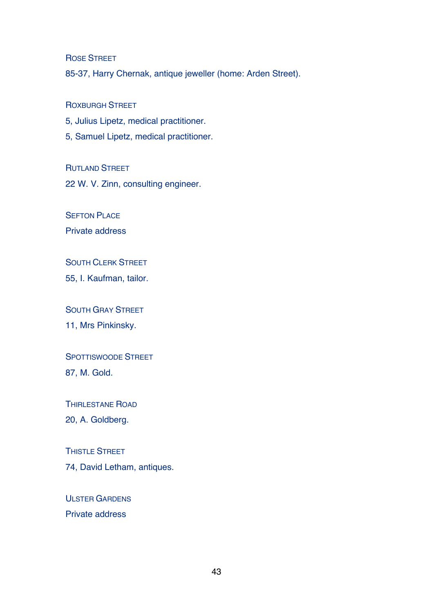ROSE STREET

85-37, Harry Chernak, antique jeweller (home: Arden Street).

ROXBURGH STREET

- 5, Julius Lipetz, medical practitioner.
- 5, Samuel Lipetz, medical practitioner.

RUTLAND STREET

22 W. V. Zinn, consulting engineer.

**SEFTON PLACE** 

Private address

SOUTH CLERK STREET

55, I. Kaufman, tailor.

SOUTH GRAY STREET

11, Mrs Pinkinsky.

SPOTTISWOODE STREET

87, M. Gold.

THIRLESTANE ROAD

20, A. Goldberg.

THISTLE STREET

74, David Letham, antiques.

ULSTER GARDENS Private address